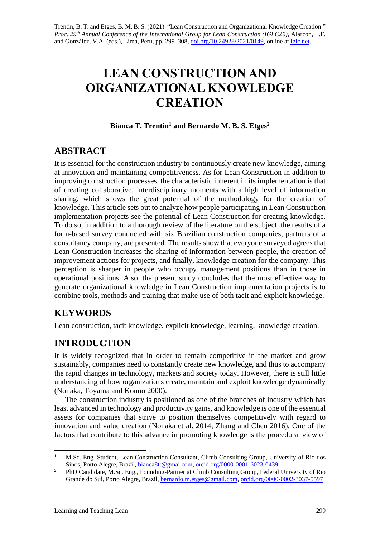# **LEAN CONSTRUCTION AND ORGANIZATIONAL KNOWLEDGE CREATION**

#### **Bianca T. Trentin<sup>1</sup> and Bernardo M. B. S. Etges<sup>2</sup>**

# **ABSTRACT**

It is essential for the construction industry to continuously create new knowledge, aiming at innovation and maintaining competitiveness. As for Lean Construction in addition to improving construction processes, the characteristic inherent in its implementation is that of creating collaborative, interdisciplinary moments with a high level of information sharing, which shows the great potential of the methodology for the creation of knowledge. This article sets out to analyze how people participating in Lean Construction implementation projects see the potential of Lean Construction for creating knowledge. To do so, in addition to a thorough review of the literature on the subject, the results of a form-based survey conducted with six Brazilian construction companies, partners of a consultancy company, are presented. The results show that everyone surveyed agrees that Lean Construction increases the sharing of information between people, the creation of improvement actions for projects, and finally, knowledge creation for the company. This perception is sharper in people who occupy management positions than in those in operational positions. Also, the present study concludes that the most effective way to generate organizational knowledge in Lean Construction implementation projects is to combine tools, methods and training that make use of both tacit and explicit knowledge.

# **KEYWORDS**

Lean construction, tacit knowledge, explicit knowledge, learning, knowledge creation.

# **INTRODUCTION**

It is widely recognized that in order to remain competitive in the market and grow sustainably, companies need to constantly create new knowledge, and thus to accompany the rapid changes in technology, markets and society today. However, there is still little understanding of how organizations create, maintain and exploit knowledge dynamically (Nonaka, Toyama and Konno 2000).

The construction industry is positioned as one of the branches of industry which has least advanced in technology and productivity gains, and knowledge is one of the essential assets for companies that strive to position themselves competitively with regard to innovation and value creation (Nonaka et al. 2014; Zhang and Chen 2016). One of the factors that contribute to this advance in promoting knowledge is the procedural view of

<sup>1</sup> M.Sc. Eng. Student, Lean Construction Consultant, Climb Consulting Group, University of Rio dos Sinos, Porto Alegre, Brazil, [bianca8tt@gmai.com,](mailto:bianca8tt@gmai.com) [orcid.org/0000-0001-6023-0439](https://orcid.org/0000-0001-6023-0439)

<sup>&</sup>lt;sup>2</sup> PhD Candidate, M.Sc. Eng., Founding-Partner at Climb Consulting Group, Federal University of Rio Grande do Sul, Porto Alegre, Brazil[, bernardo.m.etges@gmail.com,](mailto:bernardo.m.etges@gmail.com) [orcid.org/0000-0002-3037-5597](https://orcid.org/0000-0002-3037-5597)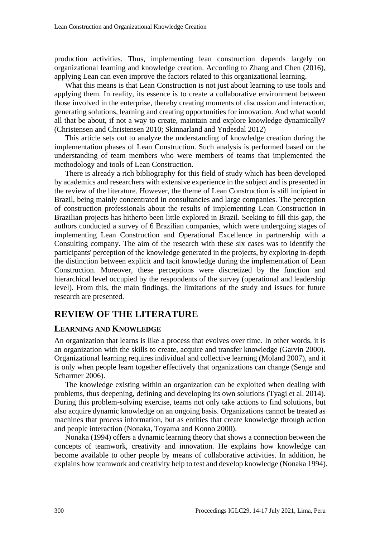production activities. Thus, implementing lean construction depends largely on organizational learning and knowledge creation. According to Zhang and Chen (2016), applying Lean can even improve the factors related to this organizational learning.

What this means is that Lean Construction is not just about learning to use tools and applying them. In reality, its essence is to create a collaborative environment between those involved in the enterprise, thereby creating moments of discussion and interaction, generating solutions, learning and creating opportunities for innovation. And what would all that be about, if not a way to create, maintain and explore knowledge dynamically? (Christensen and Christensen 2010; Skinnarland and Yndesdal 2012)

This article sets out to analyze the understanding of knowledge creation during the implementation phases of Lean Construction. Such analysis is performed based on the understanding of team members who were members of teams that implemented the methodology and tools of Lean Construction.

There is already a rich bibliography for this field of study which has been developed by academics and researchers with extensive experience in the subject and is presented in the review of the literature. However, the theme of Lean Construction is still incipient in Brazil, being mainly concentrated in consultancies and large companies. The perception of construction professionals about the results of implementing Lean Construction in Brazilian projects has hitherto been little explored in Brazil. Seeking to fill this gap, the authors conducted a survey of 6 Brazilian companies, which were undergoing stages of implementing Lean Construction and Operational Excellence in partnership with a Consulting company. The aim of the research with these six cases was to identify the participants' perception of the knowledge generated in the projects, by exploring in-depth the distinction between explicit and tacit knowledge during the implementation of Lean Construction. Moreover, these perceptions were discretized by the function and hierarchical level occupied by the respondents of the survey (operational and leadership level). From this, the main findings, the limitations of the study and issues for future research are presented.

### **REVIEW OF THE LITERATURE**

#### **LEARNING AND KNOWLEDGE**

An organization that learns is like a process that evolves over time. In other words, it is an organization with the skills to create, acquire and transfer knowledge (Garvin 2000). Organizational learning requires individual and collective learning (Moland 2007), and it is only when people learn together effectively that organizations can change (Senge and Scharmer 2006).

The knowledge existing within an organization can be exploited when dealing with problems, thus deepening, defining and developing its own solutions (Tyagi et al. 2014). During this problem-solving exercise, teams not only take actions to find solutions, but also acquire dynamic knowledge on an ongoing basis. Organizations cannot be treated as machines that process information, but as entities that create knowledge through action and people interaction (Nonaka, Toyama and Konno 2000).

Nonaka (1994) offers a dynamic learning theory that shows a connection between the concepts of teamwork, creativity and innovation. He explains how knowledge can become available to other people by means of collaborative activities. In addition, he explains how teamwork and creativity help to test and develop knowledge (Nonaka 1994).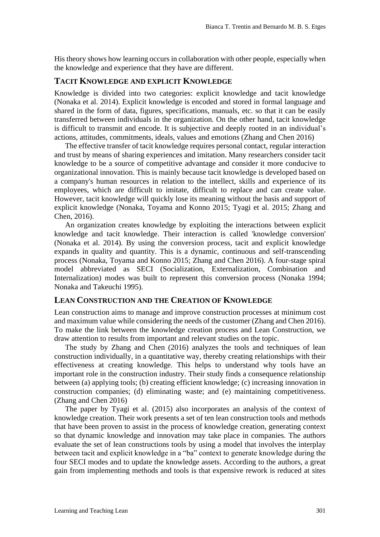His theory shows how learning occurs in collaboration with other people, especially when the knowledge and experience that they have are different.

#### **TACIT KNOWLEDGE AND EXPLICIT KNOWLEDGE**

Knowledge is divided into two categories: explicit knowledge and tacit knowledge (Nonaka et al. 2014). Explicit knowledge is encoded and stored in formal language and shared in the form of data, figures, specifications, manuals, etc. so that it can be easily transferred between individuals in the organization. On the other hand, tacit knowledge is difficult to transmit and encode. It is subjective and deeply rooted in an individual's actions, attitudes, commitments, ideals, values and emotions (Zhang and Chen 2016)

The effective transfer of tacit knowledge requires personal contact, regular interaction and trust by means of sharing experiences and imitation. Many researchers consider tacit knowledge to be a source of competitive advantage and consider it more conducive to organizational innovation. This is mainly because tacit knowledge is developed based on a company's human resources in relation to the intellect, skills and experience of its employees, which are difficult to imitate, difficult to replace and can create value. However, tacit knowledge will quickly lose its meaning without the basis and support of explicit knowledge (Nonaka, Toyama and Konno 2015; Tyagi et al. 2015; Zhang and Chen, 2016).

An organization creates knowledge by exploiting the interactions between explicit knowledge and tacit knowledge. Their interaction is called 'knowledge conversion' (Nonaka et al. 2014). By using the conversion process, tacit and explicit knowledge expands in quality and quantity. This is a dynamic, continuous and self-transcending process (Nonaka, Toyama and Konno 2015; Zhang and Chen 2016). A four-stage spiral model abbreviated as SECI (Socialization, Externalization, Combination and Internalization) modes was built to represent this conversion process (Nonaka 1994; Nonaka and Takeuchi 1995).

#### **LEAN CONSTRUCTION AND THE CREATION OF KNOWLEDGE**

Lean construction aims to manage and improve construction processes at minimum cost and maximum value while considering the needs of the customer (Zhang and Chen 2016). To make the link between the knowledge creation process and Lean Construction, we draw attention to results from important and relevant studies on the topic.

The study by Zhang and Chen (2016) analyzes the tools and techniques of lean construction individually, in a quantitative way, thereby creating relationships with their effectiveness at creating knowledge. This helps to understand why tools have an important role in the construction industry. Their study finds a consequence relationship between (a) applying tools; (b) creating efficient knowledge; (c) increasing innovation in construction companies; (d) eliminating waste; and (e) maintaining competitiveness. (Zhang and Chen 2016)

The paper by Tyagi et al. (2015) also incorporates an analysis of the context of knowledge creation. Their work presents a set of ten lean construction tools and methods that have been proven to assist in the process of knowledge creation, generating context so that dynamic knowledge and innovation may take place in companies. The authors evaluate the set of lean constructions tools by using a model that involves the interplay between tacit and explicit knowledge in a "ba" context to generate knowledge during the four SECI modes and to update the knowledge assets. According to the authors, a great gain from implementing methods and tools is that expensive rework is reduced at sites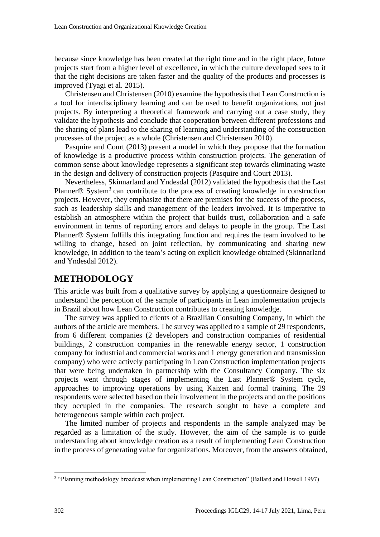because since knowledge has been created at the right time and in the right place, future projects start from a higher level of excellence, in which the culture developed sees to it that the right decisions are taken faster and the quality of the products and processes is improved (Tyagi et al. 2015).

Christensen and Christensen (2010) examine the hypothesis that Lean Construction is a tool for interdisciplinary learning and can be used to benefit organizations, not just projects. By interpreting a theoretical framework and carrying out a case study, they validate the hypothesis and conclude that cooperation between different professions and the sharing of plans lead to the sharing of learning and understanding of the construction processes of the project as a whole (Christensen and Christensen 2010).

Pasquire and Court (2013) present a model in which they propose that the formation of knowledge is a productive process within construction projects. The generation of common sense about knowledge represents a significant step towards eliminating waste in the design and delivery of construction projects (Pasquire and Court 2013).

Nevertheless, Skinnarland and Yndesdal (2012) validated the hypothesis that the Last Planner<sup>®</sup> System<sup>3</sup> can contribute to the process of creating knowledge in construction projects. However, they emphasize that there are premises for the success of the process, such as leadership skills and management of the leaders involved. It is imperative to establish an atmosphere within the project that builds trust, collaboration and a safe environment in terms of reporting errors and delays to people in the group. The Last Planner® System fulfills this integrating function and requires the team involved to be willing to change, based on joint reflection, by communicating and sharing new knowledge, in addition to the team's acting on explicit knowledge obtained (Skinnarland and Yndesdal 2012).

# **METHODOLOGY**

This article was built from a qualitative survey by applying a questionnaire designed to understand the perception of the sample of participants in Lean implementation projects in Brazil about how Lean Construction contributes to creating knowledge.

The survey was applied to clients of a Brazilian Consulting Company, in which the authors of the article are members. The survey was applied to a sample of 29 respondents, from 6 different companies (2 developers and construction companies of residential buildings, 2 construction companies in the renewable energy sector, 1 construction company for industrial and commercial works and 1 energy generation and transmission company) who were actively participating in Lean Construction implementation projects that were being undertaken in partnership with the Consultancy Company. The six projects went through stages of implementing the Last Planner® System cycle, approaches to improving operations by using Kaizen and formal training. The 29 respondents were selected based on their involvement in the projects and on the positions they occupied in the companies. The research sought to have a complete and heterogeneous sample within each project.

The limited number of projects and respondents in the sample analyzed may be regarded as a limitation of the study. However, the aim of the sample is to guide understanding about knowledge creation as a result of implementing Lean Construction in the process of generating value for organizations. Moreover, from the answers obtained,

<sup>3</sup> "Planning methodology broadcast when implementing Lean Construction" (Ballard and Howell 1997)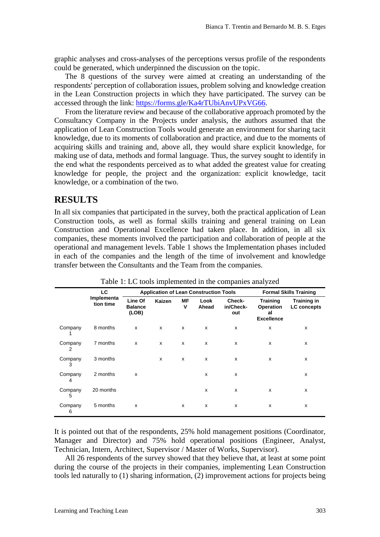graphic analyses and cross-analyses of the perceptions versus profile of the respondents could be generated, which underpinned the discussion on the topic.

The 8 questions of the survey were aimed at creating an understanding of the respondents' perception of collaboration issues, problem solving and knowledge creation in the Lean Construction projects in which they have participated. The survey can be accessed through the link: [https://forms.gle/Ka4rTUbiAnvUPxVG66.](https://forms.gle/Ka4rTUbiAnvUPxVG66)

From the literature review and because of the collaborative approach promoted by the Consultancy Company in the Projects under analysis, the authors assumed that the application of Lean Construction Tools would generate an environment for sharing tacit knowledge, due to its moments of collaboration and practice, and due to the moments of acquiring skills and training and, above all, they would share explicit knowledge, for making use of data, methods and formal language. Thus, the survey sought to identify in the end what the respondents perceived as to what added the greatest value for creating knowledge for people, the project and the organization: explicit knowledge, tacit knowledge, or a combination of the two.

## **RESULTS**

In all six companies that participated in the survey, both the practical application of Lean Construction tools, as well as formal skills training and general training on Lean Construction and Operational Excellence had taken place. In addition, in all six companies, these moments involved the participation and collaboration of people at the operational and management levels. Table 1 shows the Implementation phases included in each of the companies and the length of the time of involvement and knowledge transfer between the Consultants and the Team from the companies.

|              | LC<br>Implementa<br>tion time | <b>Application of Lean Construction Tools</b> |               |                |               |                            | <b>Formal Skills Training</b>                                  |                                          |
|--------------|-------------------------------|-----------------------------------------------|---------------|----------------|---------------|----------------------------|----------------------------------------------------------------|------------------------------------------|
|              |                               | Line Of<br><b>Balance</b><br>(LOB)            | <b>Kaizen</b> | <b>MF</b><br>V | Look<br>Ahead | Check-<br>in/Check-<br>out | <b>Training</b><br><b>Operation</b><br>al<br><b>Excellence</b> | <b>Training in</b><br><b>LC</b> concepts |
| Company      | 8 months                      | X                                             | x             | x              | x             | х                          | X                                                              | X                                        |
| Company<br>2 | 7 months                      | x                                             | X             | x              | X             | X                          | X                                                              | X                                        |
| Company<br>3 | 3 months                      |                                               | X             | x              | x             | x                          | X                                                              | X                                        |
| Company<br>4 | 2 months                      | x                                             |               |                | x             | X                          |                                                                | X                                        |
| Company<br>5 | 20 months                     |                                               |               |                | X             | x                          | X                                                              | X                                        |
| Company<br>6 | 5 months                      | x                                             |               | X              | x             | х                          | X                                                              | X                                        |

Table 1: LC tools implemented in the companies analyzed

It is pointed out that of the respondents, 25% hold management positions (Coordinator, Manager and Director) and 75% hold operational positions (Engineer, Analyst, Technician, Intern, Architect, Supervisor / Master of Works, Supervisor).

All 26 respondents of the survey showed that they believe that, at least at some point during the course of the projects in their companies, implementing Lean Construction tools led naturally to (1) sharing information, (2) improvement actions for projects being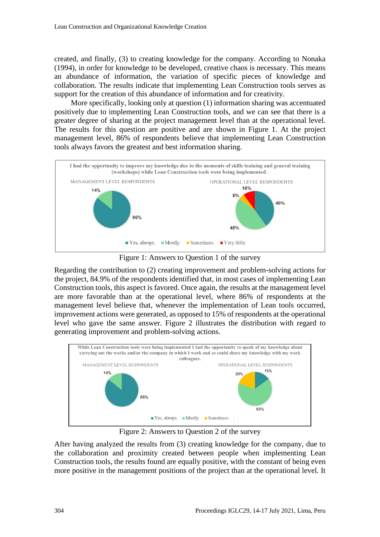created, and finally, (3) to creating knowledge for the company. According to Nonaka (1994), in order for knowledge to be developed, creative chaos is necessary. This means an abundance of information, the variation of specific pieces of knowledge and collaboration. The results indicate that implementing Lean Construction tools serves as support for the creation of this abundance of information and for creativity.

 More specifically, looking only at question (1) information sharing was accentuated positively due to implementing Lean Construction tools, and we can see that there is a greater degree of sharing at the project management level than at the operational level. The results for this question are positive and are shown in Figure 1. At the project management level, 86% of respondents believe that implementing Lean Construction tools always favors the greatest and best information sharing.



Figure 1: Answers to Question 1 of the survey

Regarding the contribution to (2) creating improvement and problem-solving actions for the project, 84.9% of the respondents identified that, in most cases of implementing Lean Construction tools, this aspect is favored. Once again, the results at the management level are more favorable than at the operational level, where 86% of respondents at the management level believe that, whenever the implementation of Lean tools occurred, improvement actions were generated, as opposed to 15% of respondents at the operational level who gave the same answer. Figure 2 illustrates the distribution with regard to generating improvement and problem-solving actions.



Figure 2: Answers to Question 2 of the survey

After having analyzed the results from (3) creating knowledge for the company, due to the collaboration and proximity created between people when implementing Lean Construction tools, the results found are equally positive, with the constant of being even more positive in the management positions of the project than at the operational level. It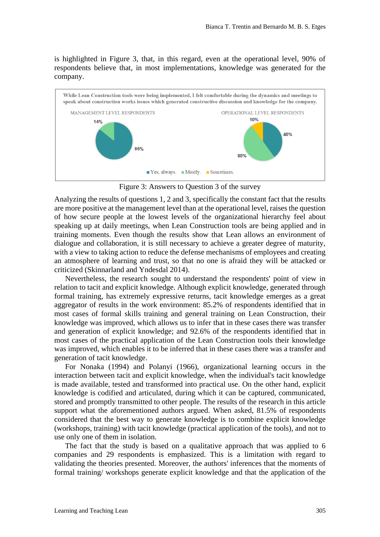is highlighted in Figure 3, that, in this regard, even at the operational level, 90% of respondents believe that, in most implementations, knowledge was generated for the company.



Figure 3: Answers to Question 3 of the survey

Analyzing the results of questions 1, 2 and 3, specifically the constant fact that the results are more positive at the management level than at the operational level, raises the question of how secure people at the lowest levels of the organizational hierarchy feel about speaking up at daily meetings, when Lean Construction tools are being applied and in training moments. Even though the results show that Lean allows an environment of dialogue and collaboration, it is still necessary to achieve a greater degree of maturity, with a view to taking action to reduce the defense mechanisms of employees and creating an atmosphere of learning and trust, so that no one is afraid they will be attacked or criticized (Skinnarland and Yndesdal 2014).

Nevertheless, the research sought to understand the respondents' point of view in relation to tacit and explicit knowledge. Although explicit knowledge, generated through formal training, has extremely expressive returns, tacit knowledge emerges as a great aggregator of results in the work environment: 85.2% of respondents identified that in most cases of formal skills training and general training on Lean Construction, their knowledge was improved, which allows us to infer that in these cases there was transfer and generation of explicit knowledge; and 92.6% of the respondents identified that in most cases of the practical application of the Lean Construction tools their knowledge was improved, which enables it to be inferred that in these cases there was a transfer and generation of tacit knowledge.

For Nonaka (1994) and Polanyi (1966), organizational learning occurs in the interaction between tacit and explicit knowledge, when the individual's tacit knowledge is made available, tested and transformed into practical use. On the other hand, explicit knowledge is codified and articulated, during which it can be captured, communicated, stored and promptly transmitted to other people. The results of the research in this article support what the aforementioned authors argued. When asked, 81.5% of respondents considered that the best way to generate knowledge is to combine explicit knowledge (workshops, training) with tacit knowledge (practical application of the tools), and not to use only one of them in isolation.

The fact that the study is based on a qualitative approach that was applied to 6 companies and 29 respondents is emphasized. This is a limitation with regard to validating the theories presented. Moreover, the authors' inferences that the moments of formal training/ workshops generate explicit knowledge and that the application of the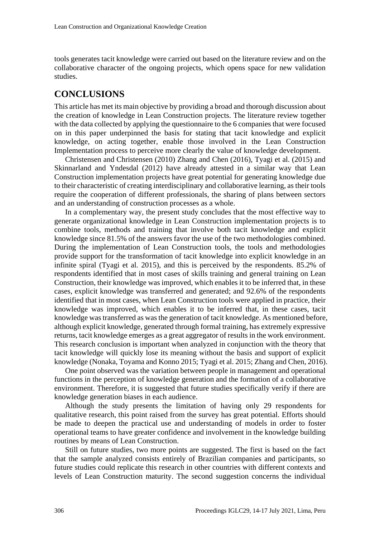tools generates tacit knowledge were carried out based on the literature review and on the collaborative character of the ongoing projects, which opens space for new validation studies.

## **CONCLUSIONS**

This article has met its main objective by providing a broad and thorough discussion about the creation of knowledge in Lean Construction projects. The literature review together with the data collected by applying the questionnaire to the 6 companies that were focused on in this paper underpinned the basis for stating that tacit knowledge and explicit knowledge, on acting together, enable those involved in the Lean Construction Implementation process to perceive more clearly the value of knowledge development.

Christensen and Christensen (2010) Zhang and Chen (2016), Tyagi et al. (2015) and Skinnarland and Yndesdal (2012) have already attested in a similar way that Lean Construction implementation projects have great potential for generating knowledge due to their characteristic of creating interdisciplinary and collaborative learning, as their tools require the cooperation of different professionals, the sharing of plans between sectors and an understanding of construction processes as a whole.

In a complementary way, the present study concludes that the most effective way to generate organizational knowledge in Lean Construction implementation projects is to combine tools, methods and training that involve both tacit knowledge and explicit knowledge since 81.5% of the answers favor the use of the two methodologies combined. During the implementation of Lean Construction tools, the tools and methodologies provide support for the transformation of tacit knowledge into explicit knowledge in an infinite spiral (Tyagi et al. 2015), and this is perceived by the respondents. 85.2% of respondents identified that in most cases of skills training and general training on Lean Construction, their knowledge was improved, which enables it to be inferred that, in these cases, explicit knowledge was transferred and generated; and 92.6% of the respondents identified that in most cases, when Lean Construction tools were applied in practice, their knowledge was improved, which enables it to be inferred that, in these cases, tacit knowledge was transferred as was the generation of tacit knowledge. As mentioned before, although explicit knowledge, generated through formal training, has extremely expressive returns, tacit knowledge emerges as a great aggregator of results in the work environment. This research conclusion is important when analyzed in conjunction with the theory that tacit knowledge will quickly lose its meaning without the basis and support of explicit knowledge (Nonaka, Toyama and Konno 2015; Tyagi et al. 2015; Zhang and Chen, 2016).

One point observed was the variation between people in management and operational functions in the perception of knowledge generation and the formation of a collaborative environment. Therefore, it is suggested that future studies specifically verify if there are knowledge generation biases in each audience.

Although the study presents the limitation of having only 29 respondents for qualitative research, this point raised from the survey has great potential. Efforts should be made to deepen the practical use and understanding of models in order to foster operational teams to have greater confidence and involvement in the knowledge building routines by means of Lean Construction.

Still on future studies, two more points are suggested. The first is based on the fact that the sample analyzed consists entirely of Brazilian companies and participants, so future studies could replicate this research in other countries with different contexts and levels of Lean Construction maturity. The second suggestion concerns the individual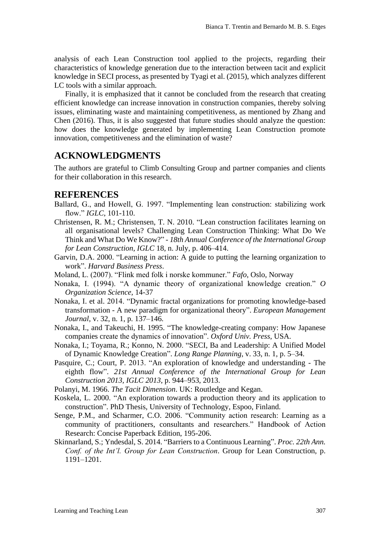analysis of each Lean Construction tool applied to the projects, regarding their characteristics of knowledge generation due to the interaction between tacit and explicit knowledge in SECI process, as presented by Tyagi et al. (2015), which analyzes different LC tools with a similar approach.

Finally, it is emphasized that it cannot be concluded from the research that creating efficient knowledge can increase innovation in construction companies, thereby solving issues, eliminating waste and maintaining competitiveness, as mentioned by Zhang and Chen (2016). Thus, it is also suggested that future studies should analyze the question: how does the knowledge generated by implementing Lean Construction promote innovation, competitiveness and the elimination of waste?

## **ACKNOWLEDGMENTS**

The authors are grateful to Climb Consulting Group and partner companies and clients for their collaboration in this research.

#### **REFERENCES**

- Ballard, G., and Howell, G. 1997. "Implementing lean construction: stabilizing work flow." *IGLC*, 101-110.
- Christensen, R. M.; Christensen, T. N. 2010. "Lean construction facilitates learning on all organisational levels? Challenging Lean Construction Thinking: What Do We Think and What Do We Know?" - *18th Annual Conference of the International Group for Lean Construction*, *IGLC* 18, n. July, p. 406–414.
- Garvin, D.A. 2000. "Learning in action: A guide to putting the learning organization to work". *Harvard Business Press*.
- Moland, L. (2007). "Flink med folk i norske kommuner." *Fafo*, Oslo, Norway
- Nonaka, I. (1994). "A dynamic theory of organizational knowledge creation." *O Organization Science*, 14-37
- Nonaka, I. et al. 2014. "Dynamic fractal organizations for promoting knowledge-based transformation - A new paradigm for organizational theory". *European Management Journal*, v. 32, n. 1, p. 137–146.
- Nonaka, I., and Takeuchi, H. 1995. "The knowledge-creating company: How Japanese companies create the dynamics of innovation". *Oxford Univ. Press*, USA.
- Nonaka, I.; Toyama, R.; Konno, N. 2000. "SECI, Ba and Leadership: A Unified Model of Dynamic Knowledge Creation". *Long Range Planning*, v. 33, n. 1, p. 5–34.
- Pasquire, C.; Court, P. 2013. "An exploration of knowledge and understanding The eighth flow". *21st Annual Conference of the International Group for Lean Construction 2013, IGLC 2013*, p. 944–953, 2013.
- Polanyi, M. 1966. *The Tacit Dimension*. UK: Routledge and Kegan.
- Koskela, L. 2000. "An exploration towards a production theory and its application to construction". PhD Thesis, University of Technology, Espoo, Finland.
- Senge, P.M., and Scharmer, C.O. 2006. "Community action research: Learning as a community of practitioners, consultants and researchers." Handbook of Action Research: Concise Paperback Edition, 195-206.
- Skinnarland, S.; Yndesdal, S. 2014. "Barriers to a Continuous Learning". *Proc. 22th Ann. Conf. of the Int'l. Group for Lean Construction*. Group for Lean Construction, p. 1191–1201.